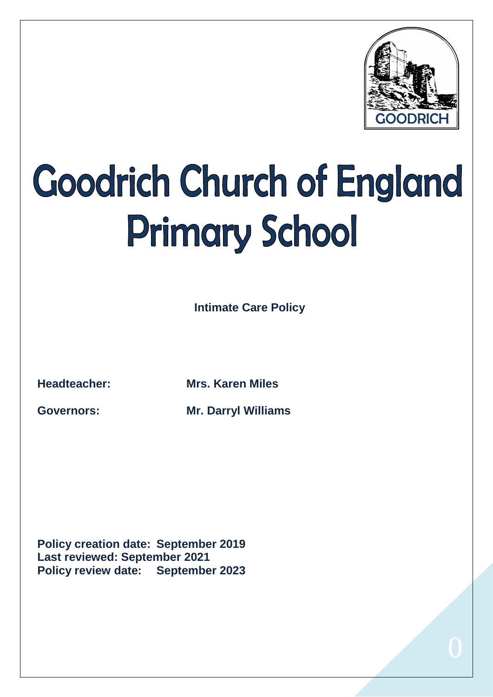

# **Goodrich Church of England Primary School**

**Intimate Care Policy** 

**Headteacher: Mrs. Karen Miles**

**Governors: Mr. Darryl Williams**

**Policy creation date: September 2019 Last reviewed: September 2021 Policy review date: September 2023**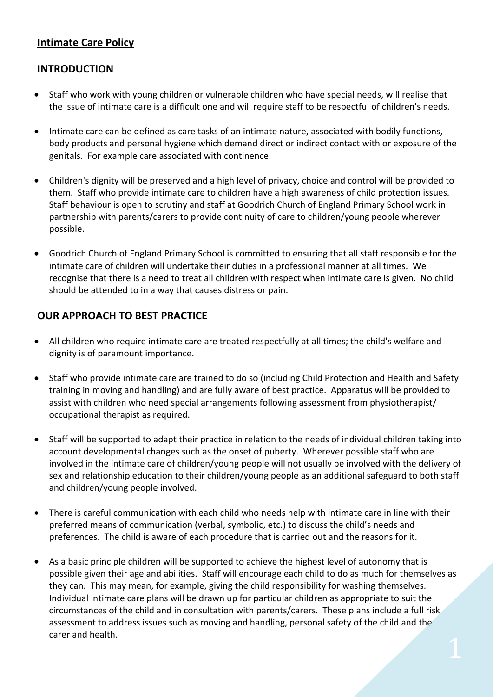### **Intimate Care Policy**

#### **INTRODUCTION**

- Staff who work with young children or vulnerable children who have special needs, will realise that the issue of intimate care is a difficult one and will require staff to be respectful of children's needs.
- Intimate care can be defined as care tasks of an intimate nature, associated with bodily functions, body products and personal hygiene which demand direct or indirect contact with or exposure of the genitals. For example care associated with continence.
- Children's dignity will be preserved and a high level of privacy, choice and control will be provided to them. Staff who provide intimate care to children have a high awareness of child protection issues. Staff behaviour is open to scrutiny and staff at Goodrich Church of England Primary School work in partnership with parents/carers to provide continuity of care to children/young people wherever possible.
- Goodrich Church of England Primary School is committed to ensuring that all staff responsible for the intimate care of children will undertake their duties in a professional manner at all times. We recognise that there is a need to treat all children with respect when intimate care is given. No child should be attended to in a way that causes distress or pain.

### **OUR APPROACH TO BEST PRACTICE**

- All children who require intimate care are treated respectfully at all times; the child's welfare and dignity is of paramount importance.
- Staff who provide intimate care are trained to do so (including Child Protection and Health and Safety training in moving and handling) and are fully aware of best practice. Apparatus will be provided to assist with children who need special arrangements following assessment from physiotherapist/ occupational therapist as required.
- Staff will be supported to adapt their practice in relation to the needs of individual children taking into account developmental changes such as the onset of puberty. Wherever possible staff who are involved in the intimate care of children/young people will not usually be involved with the delivery of sex and relationship education to their children/young people as an additional safeguard to both staff and children/young people involved.
- There is careful communication with each child who needs help with intimate care in line with their preferred means of communication (verbal, symbolic, etc.) to discuss the child's needs and preferences. The child is aware of each procedure that is carried out and the reasons for it.
- As a basic principle children will be supported to achieve the highest level of autonomy that is possible given their age and abilities. Staff will encourage each child to do as much for themselves as they can. This may mean, for example, giving the child responsibility for washing themselves. Individual intimate care plans will be drawn up for particular children as appropriate to suit the circumstances of the child and in consultation with parents/carers. These plans include a full risk assessment to address issues such as moving and handling, personal safety of the child and the carer and health.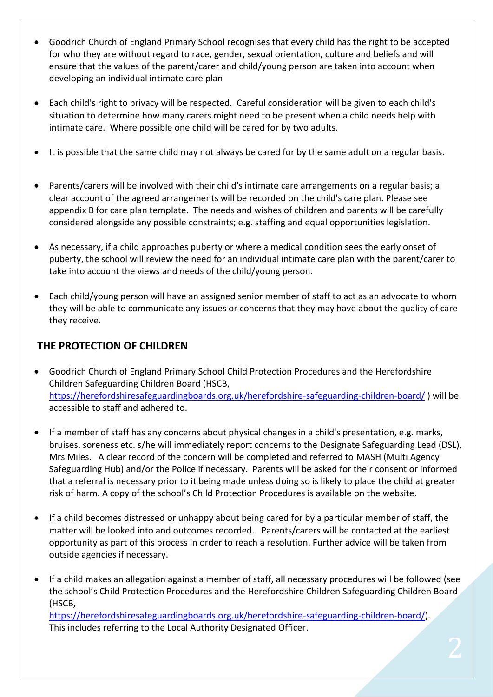- Goodrich Church of England Primary School recognises that every child has the right to be accepted for who they are without regard to race, gender, sexual orientation, culture and beliefs and will ensure that the values of the parent/carer and child/young person are taken into account when developing an individual intimate care plan
- Each child's right to privacy will be respected. Careful consideration will be given to each child's situation to determine how many carers might need to be present when a child needs help with intimate care. Where possible one child will be cared for by two adults.
- It is possible that the same child may not always be cared for by the same adult on a regular basis.
- Parents/carers will be involved with their child's intimate care arrangements on a regular basis; a clear account of the agreed arrangements will be recorded on the child's care plan. Please see appendix B for care plan template. The needs and wishes of children and parents will be carefully considered alongside any possible constraints; e.g. staffing and equal opportunities legislation.
- As necessary, if a child approaches puberty or where a medical condition sees the early onset of puberty, the school will review the need for an individual intimate care plan with the parent/carer to take into account the views and needs of the child/young person.
- Each child/young person will have an assigned senior member of staff to act as an advocate to whom they will be able to communicate any issues or concerns that they may have about the quality of care they receive.

### **THE PROTECTION OF CHILDREN**

- Goodrich Church of England Primary School Child Protection Procedures and the Herefordshire Children Safeguarding Children Board (HSCB, <https://herefordshiresafeguardingboards.org.uk/herefordshire-safeguarding-children-board/> ) will be accessible to staff and adhered to.
- If a member of staff has any concerns about physical changes in a child's presentation, e.g. marks, bruises, soreness etc. s/he will immediately report concerns to the Designate Safeguarding Lead (DSL), Mrs Miles. A clear record of the concern will be completed and referred to MASH (Multi Agency Safeguarding Hub) and/or the Police if necessary. Parents will be asked for their consent or informed that a referral is necessary prior to it being made unless doing so is likely to place the child at greater risk of harm. A copy of the school's Child Protection Procedures is available on the website.
- If a child becomes distressed or unhappy about being cared for by a particular member of staff, the matter will be looked into and outcomes recorded. Parents/carers will be contacted at the earliest opportunity as part of this process in order to reach a resolution. Further advice will be taken from outside agencies if necessary.
- If a child makes an allegation against a member of staff, all necessary procedures will be followed (see the school's Child Protection Procedures and the Herefordshire Children Safeguarding Children Board (HSCB,

[https://herefordshiresafeguardingboards.org.uk/herefordshire-safeguarding-children-board/\)](https://herefordshiresafeguardingboards.org.uk/herefordshire-safeguarding-children-board/). This includes referring to the Local Authority Designated Officer.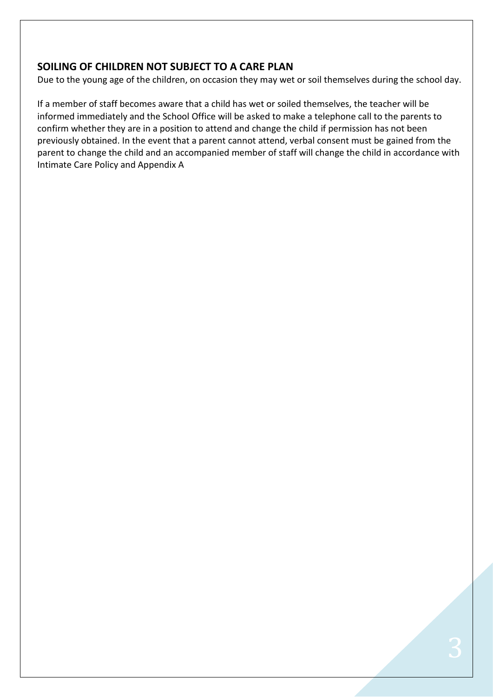#### **SOILING OF CHILDREN NOT SUBJECT TO A CARE PLAN**

Due to the young age of the children, on occasion they may wet or soil themselves during the school day.

If a member of staff becomes aware that a child has wet or soiled themselves, the teacher will be informed immediately and the School Office will be asked to make a telephone call to the parents to confirm whether they are in a position to attend and change the child if permission has not been previously obtained. In the event that a parent cannot attend, verbal consent must be gained from the parent to change the child and an accompanied member of staff will change the child in accordance with Intimate Care Policy and Appendix A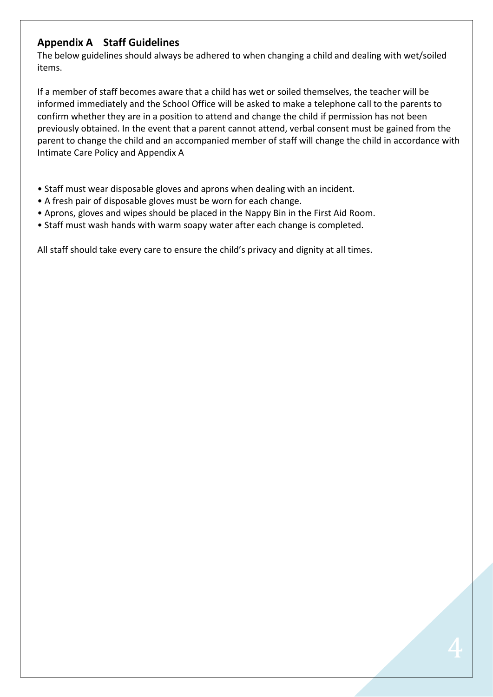### **Appendix A Staff Guidelines**

The below guidelines should always be adhered to when changing a child and dealing with wet/soiled items.

If a member of staff becomes aware that a child has wet or soiled themselves, the teacher will be informed immediately and the School Office will be asked to make a telephone call to the parents to confirm whether they are in a position to attend and change the child if permission has not been previously obtained. In the event that a parent cannot attend, verbal consent must be gained from the parent to change the child and an accompanied member of staff will change the child in accordance with Intimate Care Policy and Appendix A

- Staff must wear disposable gloves and aprons when dealing with an incident.
- A fresh pair of disposable gloves must be worn for each change.
- Aprons, gloves and wipes should be placed in the Nappy Bin in the First Aid Room.
- Staff must wash hands with warm soapy water after each change is completed.

All staff should take every care to ensure the child's privacy and dignity at all times.